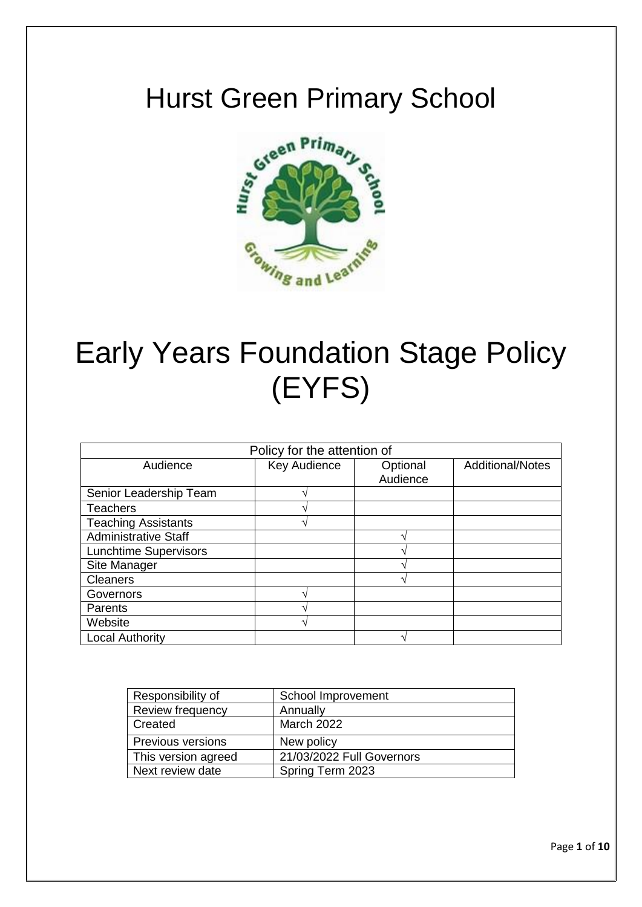

# Early Years Foundation Stage Policy (EYFS)

| Policy for the attention of  |              |          |                         |
|------------------------------|--------------|----------|-------------------------|
| Audience                     | Key Audience | Optional | <b>Additional/Notes</b> |
|                              |              | Audience |                         |
| Senior Leadership Team       |              |          |                         |
| <b>Teachers</b>              |              |          |                         |
| <b>Teaching Assistants</b>   |              |          |                         |
| <b>Administrative Staff</b>  |              |          |                         |
| <b>Lunchtime Supervisors</b> |              |          |                         |
| Site Manager                 |              |          |                         |
| <b>Cleaners</b>              |              |          |                         |
| Governors                    |              |          |                         |
| Parents                      |              |          |                         |
| Website                      |              |          |                         |
| <b>Local Authority</b>       |              |          |                         |

| Responsibility of        | School Improvement        |  |
|--------------------------|---------------------------|--|
| <b>Review frequency</b>  | Annually                  |  |
| Created                  | <b>March 2022</b>         |  |
| <b>Previous versions</b> | New policy                |  |
| This version agreed      | 21/03/2022 Full Governors |  |
| Next review date         | Spring Term 2023          |  |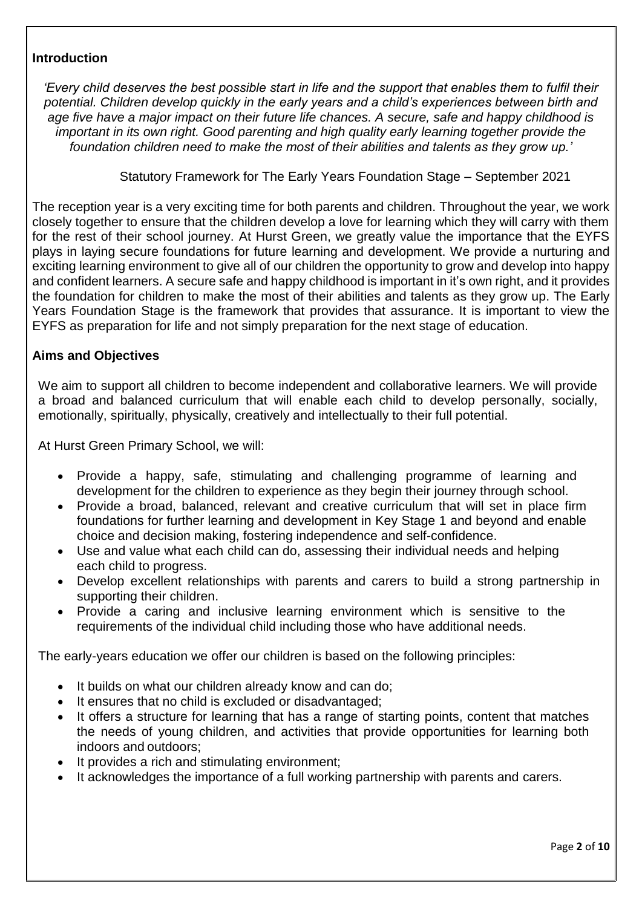#### **Introduction**

*'Every child deserves the best possible start in life and the support that enables them to fulfil their potential. Children develop quickly in the early years and a child's experiences between birth and age five have a major impact on their future life chances. A secure, safe and happy childhood is important in its own right. Good parenting and high quality early learning together provide the foundation children need to make the most of their abilities and talents as they grow up.'*

Statutory Framework for The Early Years Foundation Stage – September 2021

The reception year is a very exciting time for both parents and children. Throughout the year, we work closely together to ensure that the children develop a love for learning which they will carry with them for the rest of their school journey. At Hurst Green, we greatly value the importance that the EYFS plays in laying secure foundations for future learning and development. We provide a nurturing and exciting learning environment to give all of our children the opportunity to grow and develop into happy and confident learners. A secure safe and happy childhood is important in it's own right, and it provides the foundation for children to make the most of their abilities and talents as they grow up. The Early Years Foundation Stage is the framework that provides that assurance. It is important to view the EYFS as preparation for life and not simply preparation for the next stage of education.

#### **Aims and Objectives**

We aim to support all children to become independent and collaborative learners. We will provide a broad and balanced curriculum that will enable each child to develop personally, socially, emotionally, spiritually, physically, creatively and intellectually to their full potential.

At Hurst Green Primary School, we will:

- Provide a happy, safe, stimulating and challenging programme of learning and development for the children to experience as they begin their journey through school.
- Provide a broad, balanced, relevant and creative curriculum that will set in place firm foundations for further learning and development in Key Stage 1 and beyond and enable choice and decision making, fostering independence and self-confidence.
- Use and value what each child can do, assessing their individual needs and helping each child to progress.
- Develop excellent relationships with parents and carers to build a strong partnership in supporting their children.
- Provide a caring and inclusive learning environment which is sensitive to the requirements of the individual child including those who have additional needs.

The early-years education we offer our children is based on the following principles:

- It builds on what our children already know and can do;
- It ensures that no child is excluded or disadvantaged;
- It offers a structure for learning that has a range of starting points, content that matches the needs of young children, and activities that provide opportunities for learning both indoors and outdoors;
- It provides a rich and stimulating environment;
- It acknowledges the importance of a full working partnership with parents and carers.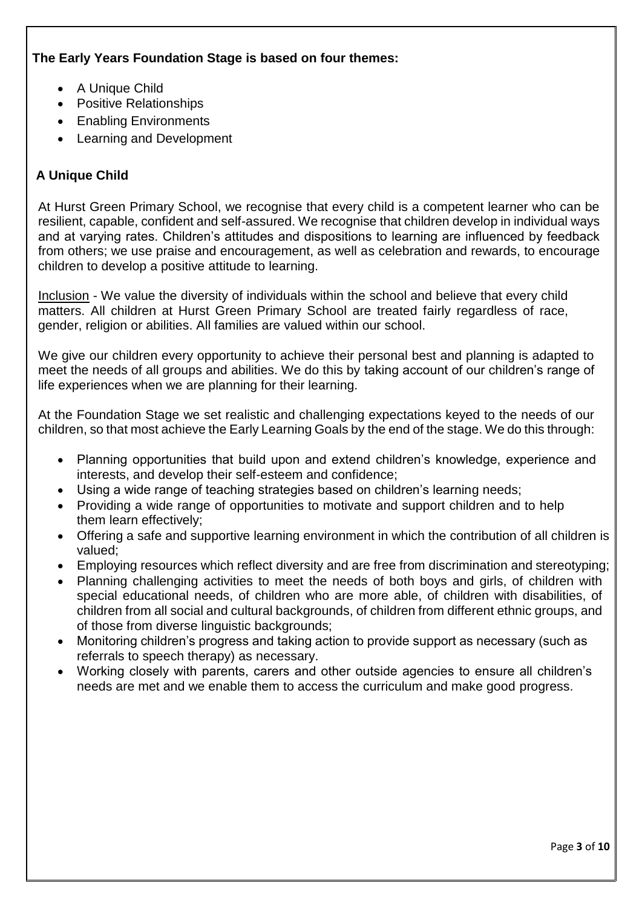# **The Early Years Foundation Stage is based on four themes:**

- A Unique Child
- Positive Relationships
- Enabling Environments
- Learning and Development

# **A Unique Child**

At Hurst Green Primary School, we recognise that every child is a competent learner who can be resilient, capable, confident and self-assured. We recognise that children develop in individual ways and at varying rates. Children's attitudes and dispositions to learning are influenced by feedback from others; we use praise and encouragement, as well as celebration and rewards, to encourage children to develop a positive attitude to learning.

Inclusion - We value the diversity of individuals within the school and believe that every child matters. All children at Hurst Green Primary School are treated fairly regardless of race, gender, religion or abilities. All families are valued within our school.

We give our children every opportunity to achieve their personal best and planning is adapted to meet the needs of all groups and abilities. We do this by taking account of our children's range of life experiences when we are planning for their learning.

At the Foundation Stage we set realistic and challenging expectations keyed to the needs of our children, so that most achieve the Early Learning Goals by the end of the stage. We do this through:

- Planning opportunities that build upon and extend children's knowledge, experience and interests, and develop their self-esteem and confidence;
- Using a wide range of teaching strategies based on children's learning needs;
- Providing a wide range of opportunities to motivate and support children and to help them learn effectively;
- Offering a safe and supportive learning environment in which the contribution of all children is valued;
- Employing resources which reflect diversity and are free from discrimination and stereotyping;
- Planning challenging activities to meet the needs of both boys and girls, of children with special educational needs, of children who are more able, of children with disabilities, of children from all social and cultural backgrounds, of children from different ethnic groups, and of those from diverse linguistic backgrounds;
- Monitoring children's progress and taking action to provide support as necessary (such as referrals to speech therapy) as necessary.
- Working closely with parents, carers and other outside agencies to ensure all children's needs are met and we enable them to access the curriculum and make good progress.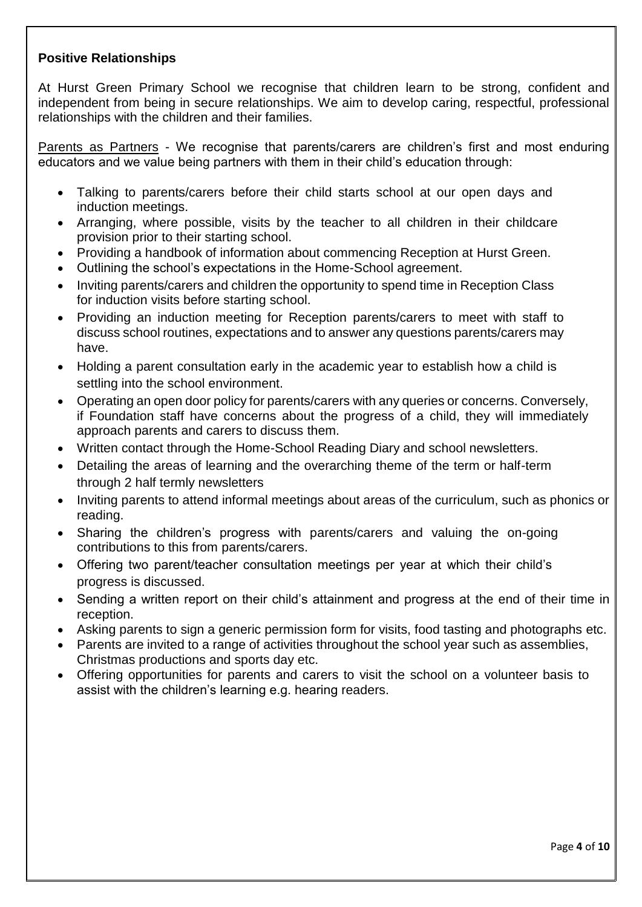#### **Positive Relationships**

At Hurst Green Primary School we recognise that children learn to be strong, confident and independent from being in secure relationships. We aim to develop caring, respectful, professional relationships with the children and their families.

Parents as Partners - We recognise that parents/carers are children's first and most enduring educators and we value being partners with them in their child's education through:

- Talking to parents/carers before their child starts school at our open days and induction meetings.
- Arranging, where possible, visits by the teacher to all children in their childcare provision prior to their starting school.
- Providing a handbook of information about commencing Reception at Hurst Green.
- Outlining the school's expectations in the Home-School agreement.
- Inviting parents/carers and children the opportunity to spend time in Reception Class for induction visits before starting school.
- Providing an induction meeting for Reception parents/carers to meet with staff to discuss school routines, expectations and to answer any questions parents/carers may have.
- Holding a parent consultation early in the academic year to establish how a child is settling into the school environment.
- Operating an open door policy for parents/carers with any queries or concerns. Conversely, if Foundation staff have concerns about the progress of a child, they will immediately approach parents and carers to discuss them.
- Written contact through the Home-School Reading Diary and school newsletters.
- Detailing the areas of learning and the overarching theme of the term or half-term through 2 half termly newsletters
- Inviting parents to attend informal meetings about areas of the curriculum, such as phonics or reading.
- Sharing the children's progress with parents/carers and valuing the on-going contributions to this from parents/carers.
- Offering two parent/teacher consultation meetings per year at which their child's progress is discussed.
- Sending a written report on their child's attainment and progress at the end of their time in reception.
- Asking parents to sign a generic permission form for visits, food tasting and photographs etc.
- Parents are invited to a range of activities throughout the school year such as assemblies, Christmas productions and sports day etc.
- Offering opportunities for parents and carers to visit the school on a volunteer basis to assist with the children's learning e.g. hearing readers.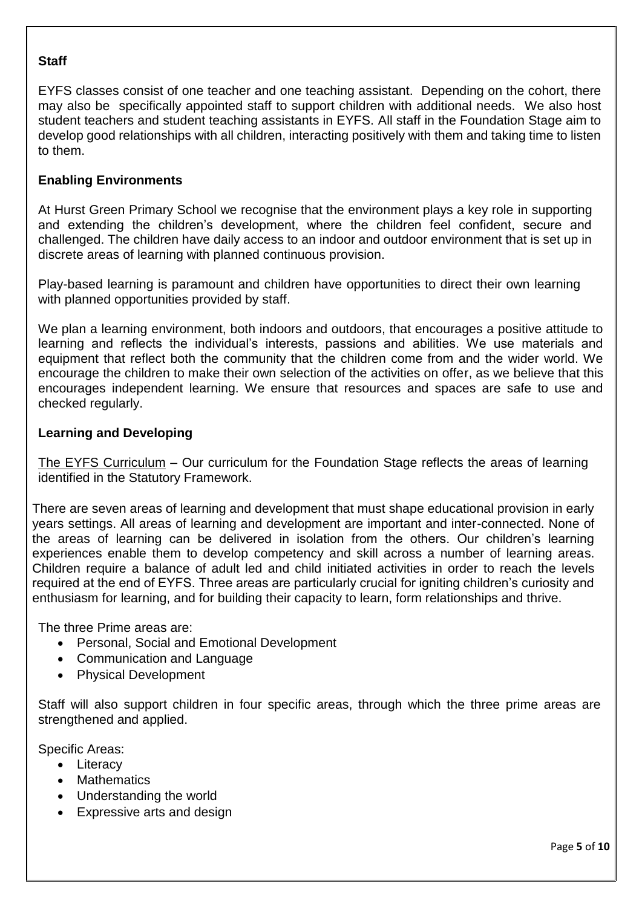#### **Staff**

EYFS classes consist of one teacher and one teaching assistant. Depending on the cohort, there may also be specifically appointed staff to support children with additional needs. We also host student teachers and student teaching assistants in EYFS. All staff in the Foundation Stage aim to develop good relationships with all children, interacting positively with them and taking time to listen to them.

#### **Enabling Environments**

At Hurst Green Primary School we recognise that the environment plays a key role in supporting and extending the children's development, where the children feel confident, secure and challenged. The children have daily access to an indoor and outdoor environment that is set up in discrete areas of learning with planned continuous provision.

Play-based learning is paramount and children have opportunities to direct their own learning with planned opportunities provided by staff.

We plan a learning environment, both indoors and outdoors, that encourages a positive attitude to learning and reflects the individual's interests, passions and abilities. We use materials and equipment that reflect both the community that the children come from and the wider world. We encourage the children to make their own selection of the activities on offer, as we believe that this encourages independent learning. We ensure that resources and spaces are safe to use and checked regularly.

#### **Learning and Developing**

The EYFS Curriculum – Our curriculum for the Foundation Stage reflects the areas of learning identified in the Statutory Framework.

There are seven areas of learning and development that must shape educational provision in early years settings. All areas of learning and development are important and inter-connected. None of the areas of learning can be delivered in isolation from the others. Our children's learning experiences enable them to develop competency and skill across a number of learning areas. Children require a balance of adult led and child initiated activities in order to reach the levels required at the end of EYFS. Three areas are particularly crucial for igniting children's curiosity and enthusiasm for learning, and for building their capacity to learn, form relationships and thrive.

The three Prime areas are:

- Personal, Social and Emotional Development
- Communication and Language
- Physical Development

Staff will also support children in four specific areas, through which the three prime areas are strengthened and applied.

Specific Areas:

- Literacy
- Mathematics
- Understanding the world
- Expressive arts and design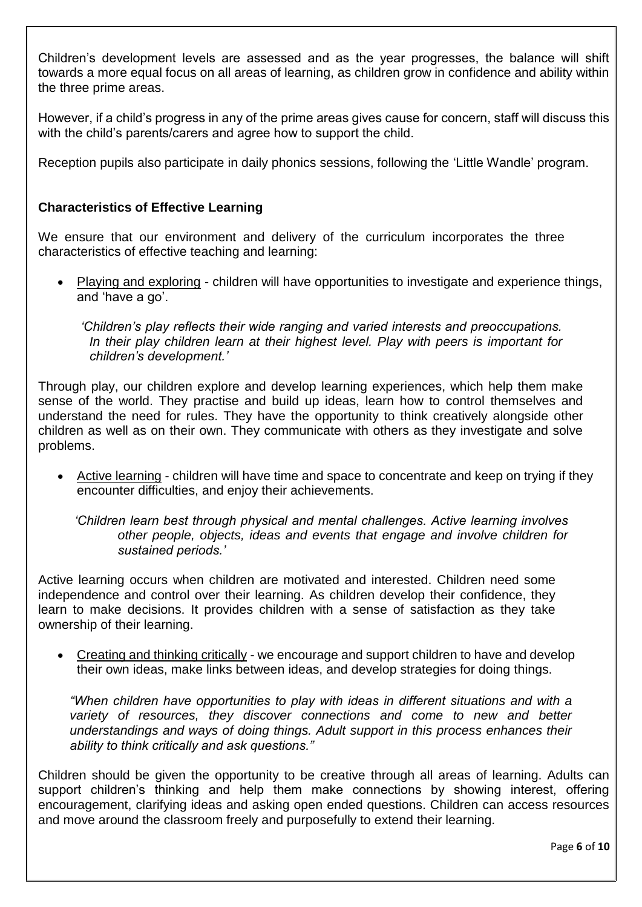Children's development levels are assessed and as the year progresses, the balance will shift towards a more equal focus on all areas of learning, as children grow in confidence and ability within the three prime areas.

However, if a child's progress in any of the prime areas gives cause for concern, staff will discuss this with the child's parents/carers and agree how to support the child.

Reception pupils also participate in daily phonics sessions, following the 'Little Wandle' program.

#### **Characteristics of Effective Learning**

We ensure that our environment and delivery of the curriculum incorporates the three characteristics of effective teaching and learning:

 Playing and exploring - children will have opportunities to investigate and experience things, and 'have a go'.

*'Children's play reflects their wide ranging and varied interests and preoccupations. In their play children learn at their highest level. Play with peers is important for children's development.'*

Through play, our children explore and develop learning experiences, which help them make sense of the world. They practise and build up ideas, learn how to control themselves and understand the need for rules. They have the opportunity to think creatively alongside other children as well as on their own. They communicate with others as they investigate and solve problems.

• Active learning - children will have time and space to concentrate and keep on trying if they encounter difficulties, and enjoy their achievements.

*'Children learn best through physical and mental challenges. Active learning involves other people, objects, ideas and events that engage and involve children for sustained periods.'*

Active learning occurs when children are motivated and interested. Children need some independence and control over their learning. As children develop their confidence, they learn to make decisions. It provides children with a sense of satisfaction as they take ownership of their learning.

• Creating and thinking critically - we encourage and support children to have and develop their own ideas, make links between ideas, and develop strategies for doing things.

*"When children have opportunities to play with ideas in different situations and with a variety of resources, they discover connections and come to new and better understandings and ways of doing things. Adult support in this process enhances their ability to think critically and ask questions."*

Children should be given the opportunity to be creative through all areas of learning. Adults can support children's thinking and help them make connections by showing interest, offering encouragement, clarifying ideas and asking open ended questions. Children can access resources and move around the classroom freely and purposefully to extend their learning.

Page **6** of **10**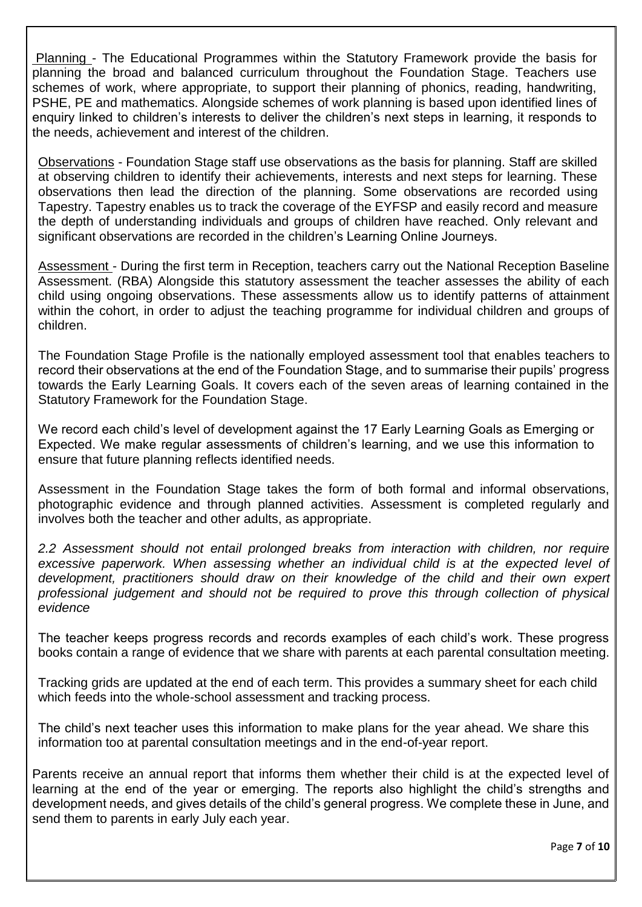Planning - The Educational Programmes within the Statutory Framework provide the basis for planning the broad and balanced curriculum throughout the Foundation Stage. Teachers use schemes of work, where appropriate, to support their planning of phonics, reading, handwriting, PSHE, PE and mathematics. Alongside schemes of work planning is based upon identified lines of enquiry linked to children's interests to deliver the children's next steps in learning, it responds to the needs, achievement and interest of the children.

Observations - Foundation Stage staff use observations as the basis for planning. Staff are skilled at observing children to identify their achievements, interests and next steps for learning. These observations then lead the direction of the planning. Some observations are recorded using Tapestry. Tapestry enables us to track the coverage of the EYFSP and easily record and measure the depth of understanding individuals and groups of children have reached. Only relevant and significant observations are recorded in the children's Learning Online Journeys.

Assessment - During the first term in Reception, teachers carry out the National Reception Baseline Assessment. (RBA) Alongside this statutory assessment the teacher assesses the ability of each child using ongoing observations. These assessments allow us to identify patterns of attainment within the cohort, in order to adjust the teaching programme for individual children and groups of children.

The Foundation Stage Profile is the nationally employed assessment tool that enables teachers to record their observations at the end of the Foundation Stage, and to summarise their pupils' progress towards the Early Learning Goals. It covers each of the seven areas of learning contained in the Statutory Framework for the Foundation Stage.

We record each child's level of development against the 17 Early Learning Goals as Emerging or Expected. We make regular assessments of children's learning, and we use this information to ensure that future planning reflects identified needs.

Assessment in the Foundation Stage takes the form of both formal and informal observations, photographic evidence and through planned activities. Assessment is completed regularly and involves both the teacher and other adults, as appropriate.

*2.2 Assessment should not entail prolonged breaks from interaction with children, nor require*  excessive paperwork. When assessing whether an individual child is at the expected level of *development, practitioners should draw on their knowledge of the child and their own expert professional judgement and should not be required to prove this through collection of physical evidence*

The teacher keeps progress records and records examples of each child's work. These progress books contain a range of evidence that we share with parents at each parental consultation meeting.

Tracking grids are updated at the end of each term. This provides a summary sheet for each child which feeds into the whole-school assessment and tracking process.

The child's next teacher uses this information to make plans for the year ahead. We share this information too at parental consultation meetings and in the end-of-year report.

Parents receive an annual report that informs them whether their child is at the expected level of learning at the end of the year or emerging. The reports also highlight the child's strengths and development needs, and gives details of the child's general progress. We complete these in June, and send them to parents in early July each year.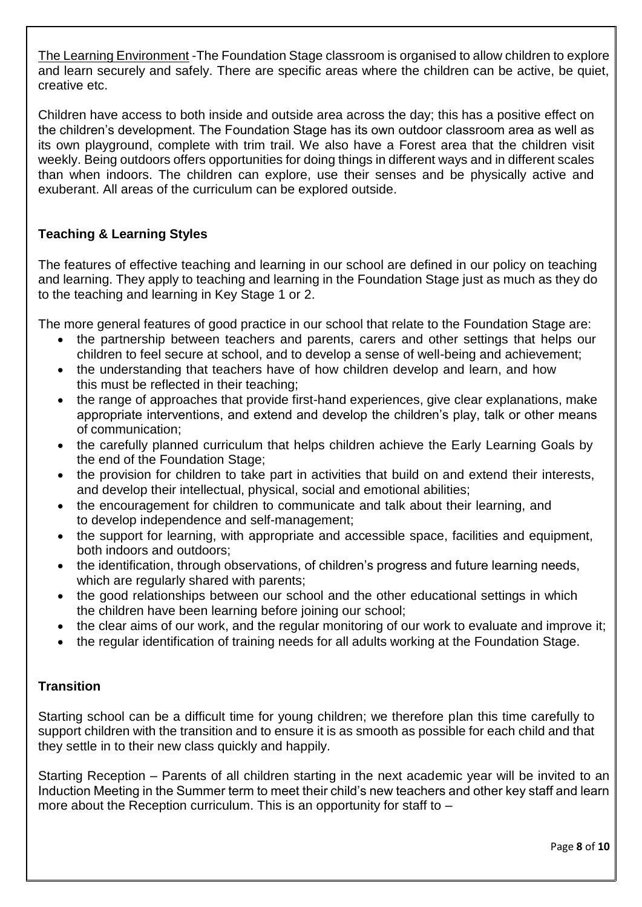The Learning Environment -The Foundation Stage classroom is organised to allow children to explore and learn securely and safely. There are specific areas where the children can be active, be quiet, creative etc.

Children have access to both inside and outside area across the day; this has a positive effect on the children's development. The Foundation Stage has its own outdoor classroom area as well as its own playground, complete with trim trail. We also have a Forest area that the children visit weekly. Being outdoors offers opportunities for doing things in different ways and in different scales than when indoors. The children can explore, use their senses and be physically active and exuberant. All areas of the curriculum can be explored outside.

# **Teaching & Learning Styles**

The features of effective teaching and learning in our school are defined in our policy on teaching and learning. They apply to teaching and learning in the Foundation Stage just as much as they do to the teaching and learning in Key Stage 1 or 2.

The more general features of good practice in our school that relate to the Foundation Stage are:

- the partnership between teachers and parents, carers and other settings that helps our children to feel secure at school, and to develop a sense of well-being and achievement;
- the understanding that teachers have of how children develop and learn, and how this must be reflected in their teaching;
- the range of approaches that provide first-hand experiences, give clear explanations, make appropriate interventions, and extend and develop the children's play, talk or other means of communication;
- the carefully planned curriculum that helps children achieve the Early Learning Goals by the end of the Foundation Stage;
- the provision for children to take part in activities that build on and extend their interests, and develop their intellectual, physical, social and emotional abilities;
- the encouragement for children to communicate and talk about their learning, and to develop independence and self-management;
- the support for learning, with appropriate and accessible space, facilities and equipment, both indoors and outdoors;
- the identification, through observations, of children's progress and future learning needs, which are regularly shared with parents;
- the good relationships between our school and the other educational settings in which the children have been learning before joining our school;
- the clear aims of our work, and the regular monitoring of our work to evaluate and improve it;
- the regular identification of training needs for all adults working at the Foundation Stage.

# **Transition**

Starting school can be a difficult time for young children; we therefore plan this time carefully to support children with the transition and to ensure it is as smooth as possible for each child and that they settle in to their new class quickly and happily.

Starting Reception – Parents of all children starting in the next academic year will be invited to an Induction Meeting in the Summer term to meet their child's new teachers and other key staff and learn more about the Reception curriculum. This is an opportunity for staff to –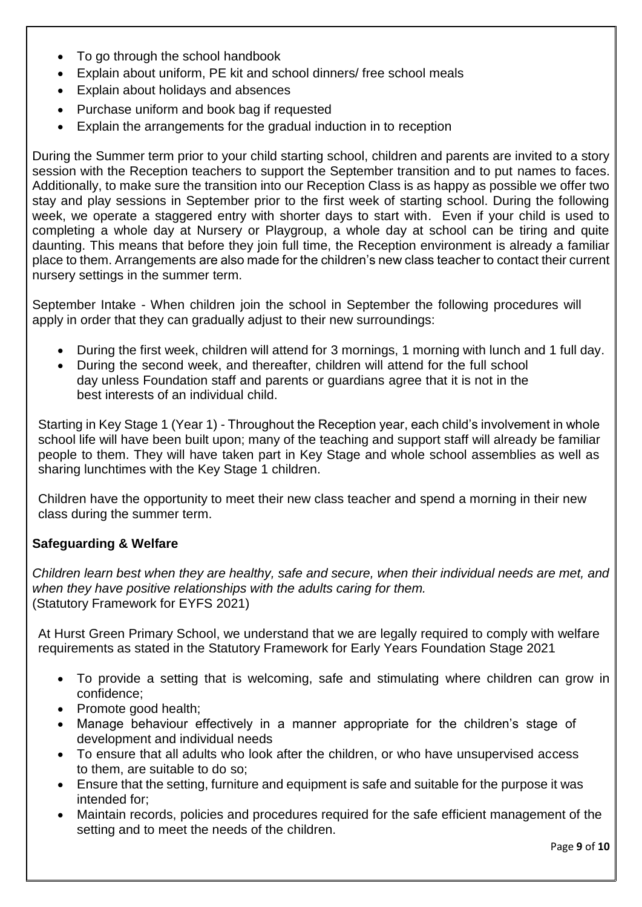- To go through the school handbook
- Explain about uniform, PE kit and school dinners/ free school meals
- Explain about holidays and absences
- Purchase uniform and book bag if requested
- Explain the arrangements for the gradual induction in to reception

During the Summer term prior to your child starting school, children and parents are invited to a story session with the Reception teachers to support the September transition and to put names to faces. Additionally, to make sure the transition into our Reception Class is as happy as possible we offer two stay and play sessions in September prior to the first week of starting school. During the following week, we operate a staggered entry with shorter days to start with. Even if your child is used to completing a whole day at Nursery or Playgroup, a whole day at school can be tiring and quite daunting. This means that before they join full time, the Reception environment is already a familiar place to them. Arrangements are also made for the children's new class teacher to contact their current nursery settings in the summer term.

September Intake - When children join the school in September the following procedures will apply in order that they can gradually adjust to their new surroundings:

- During the first week, children will attend for 3 mornings, 1 morning with lunch and 1 full day.
- During the second week, and thereafter, children will attend for the full school day unless Foundation staff and parents or guardians agree that it is not in the best interests of an individual child.

Starting in Key Stage 1 (Year 1) - Throughout the Reception year, each child's involvement in whole school life will have been built upon; many of the teaching and support staff will already be familiar people to them. They will have taken part in Key Stage and whole school assemblies as well as sharing lunchtimes with the Key Stage 1 children.

Children have the opportunity to meet their new class teacher and spend a morning in their new class during the summer term.

# **Safeguarding & Welfare**

*Children learn best when they are healthy, safe and secure, when their individual needs are met, and when they have positive relationships with the adults caring for them.* (Statutory Framework for EYFS 2021)

At Hurst Green Primary School, we understand that we are legally required to comply with welfare requirements as stated in the Statutory Framework for Early Years Foundation Stage 2021

- To provide a setting that is welcoming, safe and stimulating where children can grow in confidence;
- Promote good health;
- Manage behaviour effectively in a manner appropriate for the children's stage of development and individual needs
- To ensure that all adults who look after the children, or who have unsupervised access to them, are suitable to do so;
- Ensure that the setting, furniture and equipment is safe and suitable for the purpose it was intended for;
- Maintain records, policies and procedures required for the safe efficient management of the setting and to meet the needs of the children.